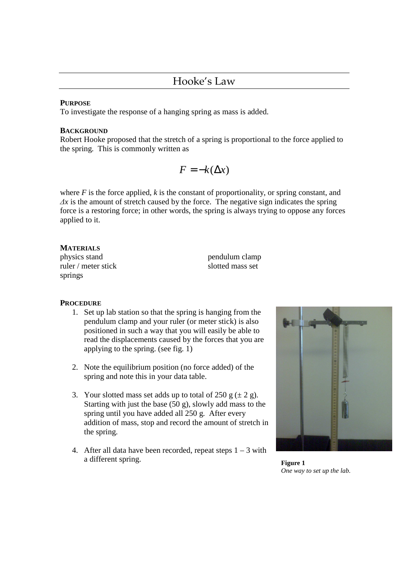#### **PURPOSE**

To investigate the response of a hanging spring as mass is added.

#### **BACKGROUND**

Robert Hooke proposed that the stretch of a spring is proportional to the force applied to the spring. This is commonly written as

$$
F = -k(\Delta x)
$$

where  $F$  is the force applied,  $k$  is the constant of proportionality, or spring constant, and  $\Delta x$  is the amount of stretch caused by the force. The negative sign indicates the spring force is a restoring force; in other words, the spring is always trying to oppose any forces applied to it.

# **MATERIALS**

physics stand pendulum clamp ruler / meter stick slotted mass set springs

# **PROCEDURE**

- 1. Set up lab station so that the spring is hanging from the pendulum clamp and your ruler (or meter stick) is also positioned in such a way that you will easily be able to read the displacements caused by the forces that you are applying to the spring. (see fig. 1)
- 2. Note the equilibrium position (no force added) of the spring and note this in your data table.
- 3. Your slotted mass set adds up to total of 250 g  $(\pm 2 \text{ g})$ . Starting with just the base (50 g), slowly add mass to the spring until you have added all 250 g. After every addition of mass, stop and record the amount of stretch in the spring.
- 4. After all data have been recorded, repeat steps  $1 3$  with a different spring. **Figure 1**



*One way to set up the lab.*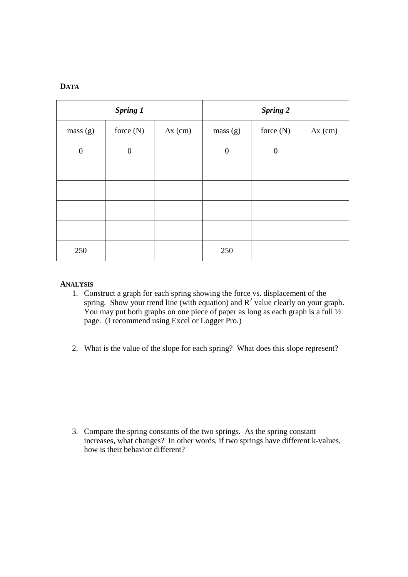| <b>Spring 1</b>  |                  |                 | <b>Spring 2</b>  |                  |                 |
|------------------|------------------|-----------------|------------------|------------------|-----------------|
| mass(g)          | force $(N)$      | $\Delta x$ (cm) | mass(g)          | force $(N)$      | $\Delta x$ (cm) |
| $\boldsymbol{0}$ | $\boldsymbol{0}$ |                 | $\boldsymbol{0}$ | $\boldsymbol{0}$ |                 |
|                  |                  |                 |                  |                  |                 |
|                  |                  |                 |                  |                  |                 |
|                  |                  |                 |                  |                  |                 |
|                  |                  |                 |                  |                  |                 |
| 250              |                  |                 | 250              |                  |                 |

# **ANALYSIS**

- 1. Construct a graph for each spring showing the force vs. displacement of the spring. Show your trend line (with equation) and  $R^2$  value clearly on your graph. You may put both graphs on one piece of paper as long as each graph is a full  $\frac{1}{2}$ page. (I recommend using Excel or Logger Pro.)
- 2. What is the value of the slope for each spring? What does this slope represent?

3. Compare the spring constants of the two springs. As the spring constant increases, what changes? In other words, if two springs have different k-values, how is their behavior different?